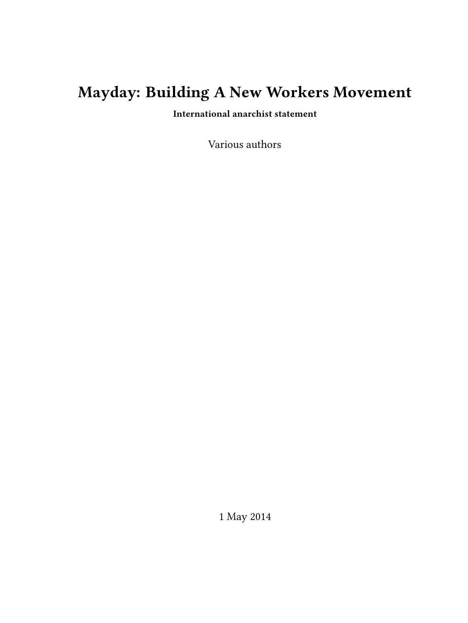# **Mayday: Building A New Workers Movement**

**International anarchist statement**

Various authors

1 May 2014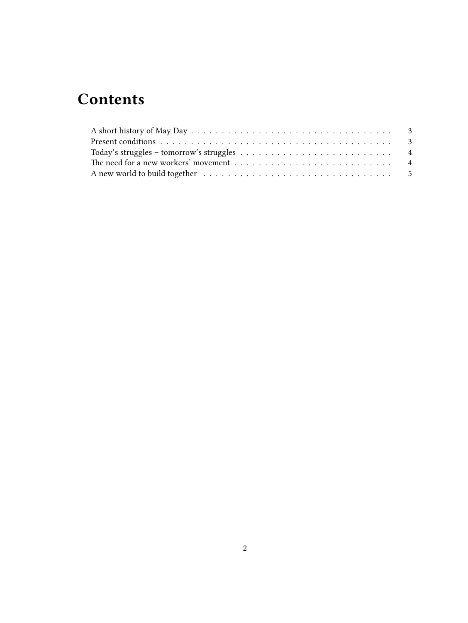## **Contents**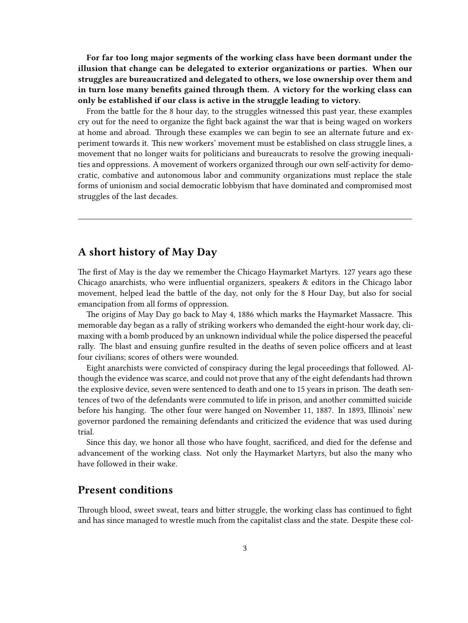**For far too long major segments of the working class have been dormant under the illusion that change can be delegated to exterior organizations or parties. When our struggles are bureaucratized and delegated to others, we lose ownership over them and in turn lose many benefits gained through them. A victory for the working class can only be established if our class is active in the struggle leading to victory.**

From the battle for the 8 hour day, to the struggles witnessed this past year, these examples cry out for the need to organize the fight back against the war that is being waged on workers at home and abroad. Through these examples we can begin to see an alternate future and experiment towards it. This new workers' movement must be established on class struggle lines, a movement that no longer waits for politicians and bureaucrats to resolve the growing inequalities and oppressions. A movement of workers organized through our own self-activity for democratic, combative and autonomous labor and community organizations must replace the stale forms of unionism and social democratic lobbyism that have dominated and compromised most struggles of the last decades.

#### <span id="page-2-0"></span>**A short history of May Day**

The first of May is the day we remember the Chicago Haymarket Martyrs. 127 years ago these Chicago anarchists, who were influential organizers, speakers & editors in the Chicago labor movement, helped lead the battle of the day, not only for the 8 Hour Day, but also for social emancipation from all forms of oppression.

The origins of May Day go back to May 4, 1886 which marks the Haymarket Massacre. This memorable day began as a rally of striking workers who demanded the eight-hour work day, climaxing with a bomb produced by an unknown individual while the police dispersed the peaceful rally. The blast and ensuing gunfire resulted in the deaths of seven police officers and at least four civilians; scores of others were wounded.

Eight anarchists were convicted of conspiracy during the legal proceedings that followed. Although the evidence was scarce, and could not prove that any of the eight defendants had thrown the explosive device, seven were sentenced to death and one to 15 years in prison. The death sentences of two of the defendants were commuted to life in prison, and another committed suicide before his hanging. The other four were hanged on November 11, 1887. In 1893, Illinois' new governor pardoned the remaining defendants and criticized the evidence that was used during trial.

Since this day, we honor all those who have fought, sacrificed, and died for the defense and advancement of the working class. Not only the Haymarket Martyrs, but also the many who have followed in their wake.

## <span id="page-2-1"></span>**Present conditions**

Through blood, sweet sweat, tears and bitter struggle, the working class has continued to fight and has since managed to wrestle much from the capitalist class and the state. Despite these col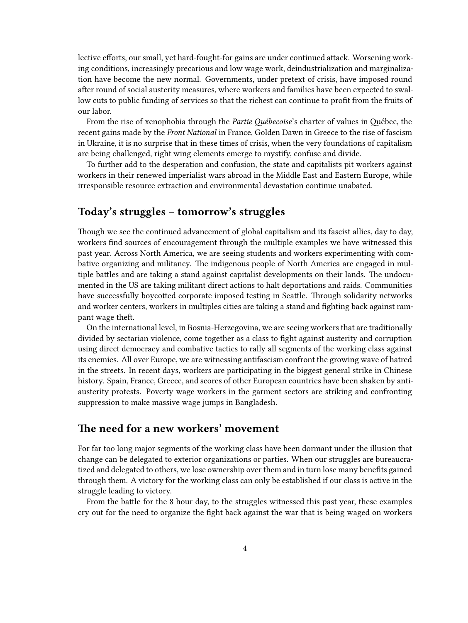lective efforts, our small, yet hard-fought-for gains are under continued attack. Worsening working conditions, increasingly precarious and low wage work, deindustrialization and marginalization have become the new normal. Governments, under pretext of crisis, have imposed round after round of social austerity measures, where workers and families have been expected to swallow cuts to public funding of services so that the richest can continue to profit from the fruits of our labor.

From the rise of xenophobia through the *Partie Québecoise*'s charter of values in Québec, the recent gains made by the *Front National* in France, Golden Dawn in Greece to the rise of fascism in Ukraine, it is no surprise that in these times of crisis, when the very foundations of capitalism are being challenged, right wing elements emerge to mystify, confuse and divide.

To further add to the desperation and confusion, the state and capitalists pit workers against workers in their renewed imperialist wars abroad in the Middle East and Eastern Europe, while irresponsible resource extraction and environmental devastation continue unabated.

## <span id="page-3-0"></span>**Today's struggles – tomorrow's struggles**

Though we see the continued advancement of global capitalism and its fascist allies, day to day, workers find sources of encouragement through the multiple examples we have witnessed this past year. Across North America, we are seeing students and workers experimenting with combative organizing and militancy. The indigenous people of North America are engaged in multiple battles and are taking a stand against capitalist developments on their lands. The undocumented in the US are taking militant direct actions to halt deportations and raids. Communities have successfully boycotted corporate imposed testing in Seattle. Through solidarity networks and worker centers, workers in multiples cities are taking a stand and fighting back against rampant wage theft.

On the international level, in Bosnia-Herzegovina, we are seeing workers that are traditionally divided by sectarian violence, come together as a class to fight against austerity and corruption using direct democracy and combative tactics to rally all segments of the working class against its enemies. All over Europe, we are witnessing antifascism confront the growing wave of hatred in the streets. In recent days, workers are participating in the biggest general strike in Chinese history. Spain, France, Greece, and scores of other European countries have been shaken by antiausterity protests. Poverty wage workers in the garment sectors are striking and confronting suppression to make massive wage jumps in Bangladesh.

#### <span id="page-3-1"></span>**The need for a new workers' movement**

For far too long major segments of the working class have been dormant under the illusion that change can be delegated to exterior organizations or parties. When our struggles are bureaucratized and delegated to others, we lose ownership over them and in turn lose many benefits gained through them. A victory for the working class can only be established if our class is active in the struggle leading to victory.

From the battle for the 8 hour day, to the struggles witnessed this past year, these examples cry out for the need to organize the fight back against the war that is being waged on workers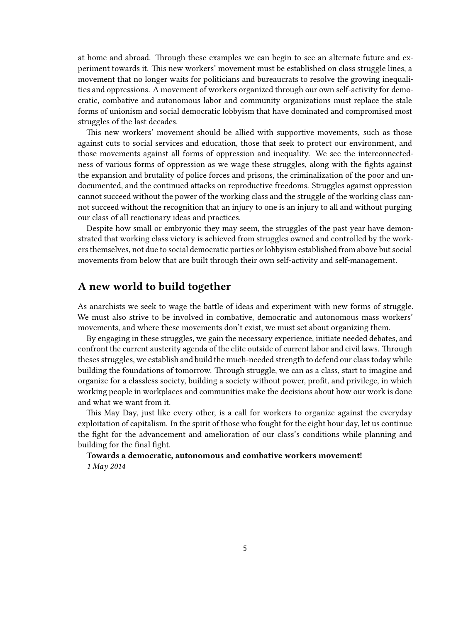at home and abroad. Through these examples we can begin to see an alternate future and experiment towards it. This new workers' movement must be established on class struggle lines, a movement that no longer waits for politicians and bureaucrats to resolve the growing inequalities and oppressions. A movement of workers organized through our own self-activity for democratic, combative and autonomous labor and community organizations must replace the stale forms of unionism and social democratic lobbyism that have dominated and compromised most struggles of the last decades.

This new workers' movement should be allied with supportive movements, such as those against cuts to social services and education, those that seek to protect our environment, and those movements against all forms of oppression and inequality. We see the interconnectedness of various forms of oppression as we wage these struggles, along with the fights against the expansion and brutality of police forces and prisons, the criminalization of the poor and undocumented, and the continued attacks on reproductive freedoms. Struggles against oppression cannot succeed without the power of the working class and the struggle of the working class cannot succeed without the recognition that an injury to one is an injury to all and without purging our class of all reactionary ideas and practices.

Despite how small or embryonic they may seem, the struggles of the past year have demonstrated that working class victory is achieved from struggles owned and controlled by the workers themselves, not due to social democratic parties or lobbyism established from above but social movements from below that are built through their own self-activity and self-management.

#### <span id="page-4-0"></span>**A new world to build together**

As anarchists we seek to wage the battle of ideas and experiment with new forms of struggle. We must also strive to be involved in combative, democratic and autonomous mass workers' movements, and where these movements don't exist, we must set about organizing them.

By engaging in these struggles, we gain the necessary experience, initiate needed debates, and confront the current austerity agenda of the elite outside of current labor and civil laws. Through theses struggles, we establish and build the much-needed strength to defend our class today while building the foundations of tomorrow. Through struggle, we can as a class, start to imagine and organize for a classless society, building a society without power, profit, and privilege, in which working people in workplaces and communities make the decisions about how our work is done and what we want from it.

This May Day, just like every other, is a call for workers to organize against the everyday exploitation of capitalism. In the spirit of those who fought for the eight hour day, let us continue the fight for the advancement and amelioration of our class's conditions while planning and building for the final fight.

**Towards a democratic, autonomous and combative workers movement!** *1 May 2014*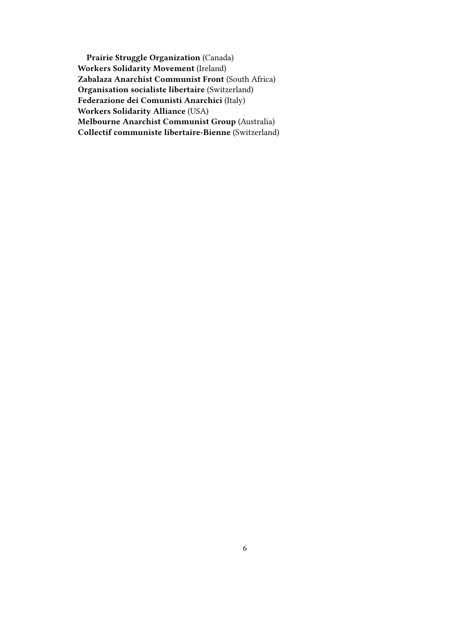**Prairie Struggle Organization** (Canada) **Workers Solidarity Movement** (Ireland) **Zabalaza Anarchist Communist Front** (South Africa) **Organisation socialiste libertaire** (Switzerland) **Federazione dei Comunisti Anarchici** (Italy) **Workers Solidarity Alliance** (USA) **Melbourne Anarchist Communist Group** (Australia) **Collectif communiste libertaire-Bienne** (Switzerland)